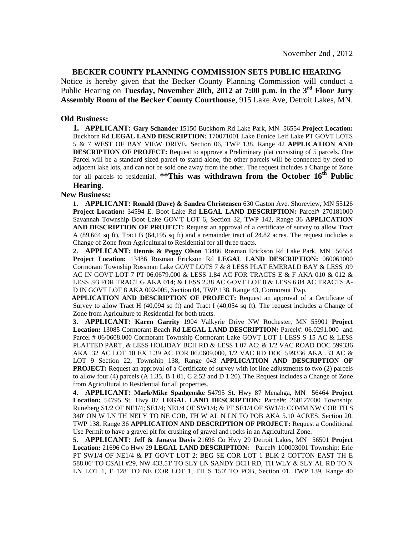## **BECKER COUNTY PLANNING COMMISSION SETS PUBLIC HEARING**

Notice is hereby given that the Becker County Planning Commission will conduct a Public Hearing on **Tuesday, November 20th, 2012 at 7:00 p.m. in the 3rd Floor Jury Assembly Room of the Becker County Courthouse**, 915 Lake Ave, Detroit Lakes, MN.

## **Old Business:**

**1. APPLICANT: Gary Schander** 15150 Buckhorn Rd Lake Park, MN 56554 **Project Location:** Buckhorn Rd **LEGAL LAND DESCRIPTION:** 170071001 Lake Eunice Leif Lake PT GOVT LOTS 5 & 7 WEST OF BAY VIEW DRIVE, Section 06, TWP 138, Range 42 **APPLICATION AND DESCRIPTION OF PROJECT:** Request to approve a Preliminary plat consisting of 5 parcels. One Parcel will be a standard sized parcel to stand alone, the other parcels will be connected by deed to adjacent lake lots, and can not be sold one away from the other. The request includes a Change of Zone for all parcels to residential. **\*\*This was withdrawn from the October 16th Public Hearing.** 

## **New Business:**

**1. APPLICANT: Ronald (Dave) & Sandra Christensen** 630 Gaston Ave. Shoreview, MN 55126 **Project Location:** 34594 E. Boot Lake Rd **LEGAL LAND DESCRIPTION:** Parcel# 270181000 Savannah Township Boot Lake GOV'T LOT 6, Section 32, TWP 142, Range 36 **APPLICATION AND DESCRIPTION OF PROJECT:** Request an approval of a certificate of survey to allow Tract A (89,664 sq ft), Tract B (64,195 sq ft) and a remainder tract of 24.82 acres. The request includes a Change of Zone from Agricultural to Residential for all three tracts.

**2. APPLICANT: Dennis & Peggy Olson** 13486 Rosman Erickson Rd Lake Park, MN 56554 **Project Location:** 13486 Rosman Erickson Rd **LEGAL LAND DESCRIPTION:** 060061000 Cormorant Township Rossman Lake GOVT LOTS 7 & 8 LESS PLAT EMERALD BAY & LESS .09 AC IN GOVT LOT 7 PT 06.0679.000 & LESS 1.84 AC FOR TRACTS E & F AKA 010 & 012 & LESS .93 FOR TRACT G AKA 014; & LESS 2.38 AC GOVT LOT 8 & LESS 6.84 AC TRACTS A-D IN GOVT LOT 8 AKA 002-005, Section 04, TWP 138, Range 43, Cormorant Twp.

 **APPLICATION AND DESCRIPTION OF PROJECT:** Request an approval of a Certificate of Survey to allow Tract H (40,094 sq ft) and Tract I (40,054 sq ft). The request includes a Change of Zone from Agriculture to Residential for both tracts.

**3. APPLICANT: Karen Garrity** 1904 Valkyrie Drive NW Rochester, MN 55901 **Project Location:** 13085 Cormorant Beach Rd **LEGAL LAND DESCRIPTION:** Parcel#: 06.0291.000 and Parcel # 06/0608.000 Cormorant Township Cormorant Lake GOVT LOT 1 LESS S 15 AC & LESS PLATTED PART, & LESS HOLIDAY BCH RD & LESS 1.07 AC; & 1/2 VAC ROAD DOC 599336 AKA .32 AC LOT 10 EX 1.39 AC FOR 06.0609.000, 1/2 VAC RD DOC 599336 AKA .33 AC & LOT 9 Section 22, Township 138, Range 043 **APPLICATION AND DESCRIPTION OF PROJECT:** Request an approval of a Certificate of survey with lot line adjustments to two (2) parcels to allow four (4) parcels (A 1.35, B 1.01, C 2.52 and D 1.20). The Request includes a Change of Zone from Agricultural to Residential for all properties.

**4. APPLICANT: Mark/Mike Spadgenske** 54795 St. Hwy 87 Menahga, MN 56464 **Project Location:** 54795 St. Hwy 87 **LEGAL LAND DESCRIPTION:** Parcel#: 260127000 Township: Runeberg S1/2 OF NE1/4; SE1/4; NE1/4 OF SW1/4; & PT SE1/4 OF SW1/4: COMM NW COR TH S 340' ON W LN TH NELY TO NE COR, TH W AL N LN TO POB AKA 5.10 ACRES, Section 20, TWP 138, Range 36 **APPLICATION AND DESCRIPTION OF PROJECT:** Request a Conditional Use Permit to have a gravel pit for crushing of gravel and rocks in an Agricultural Zone.

**5. APPLICANT: Jeff & Janaya Davis** 21696 Co Hwy 29 Detroit Lakes, MN 56501 **Project Location:** 21696 Co Hwy 29 **LEGAL LAND DESCRIPTION:** Parcel# 100003001 Township: Erie PT SW1/4 OF NE1/4 & PT GOVT LOT 2: BEG SE COR LOT 1 BLK 2 COTTON EAST TH E 588.06' TO CSAH #29, NW 433.51' TO SLY LN SANDY BCH RD, TH WLY & SLY AL RD TO N LN LOT 1, E 128' TO NE COR LOT 1, TH S 150' TO POB, Section 01, TWP 139, Range 40